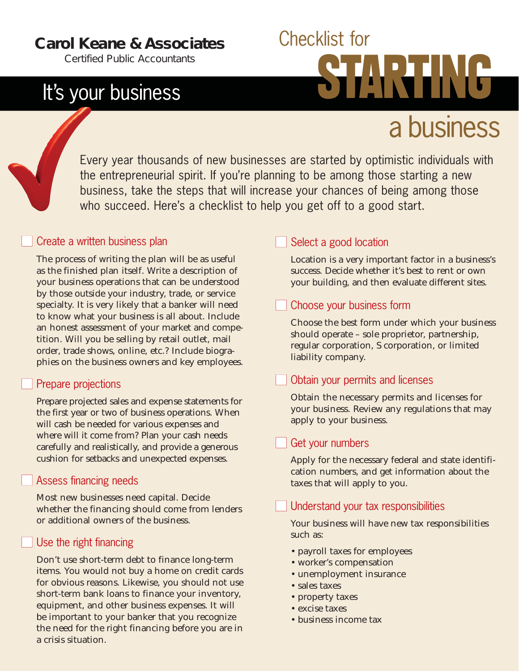### **Carol Keane & Associates**

*Certified Public Accountants*

## It's your business

# Checklist for a business

Every year thousands of new businesses are started by optimistic individuals with the entrepreneurial spirit. If you're planning to be among those starting a new business, take the steps that will increase your chances of being among those who succeed. Here's a checklist to help you get off to a good start.

#### Create a written business plan

The process of writing the plan will be as useful as the finished plan itself. Write a description of your business operations that can be understood by those outside your industry, trade, or service specialty. It is very likely that a banker will need to know what your business is all about. Include an honest assessment of your market and competition. Will you be selling by retail outlet, mail order, trade shows, online, etc.? Include biographies on the business owners and key employees.

#### Prepare projections

Prepare projected sales and expense statements for the first year or two of business operations. When will cash be needed for various expenses and where will it come from? Plan your cash needs carefully and realistically, and provide a generous cushion for setbacks and unexpected expenses.

#### Assess financing needs

Most new businesses need capital. Decide whether the financing should come from lenders or additional owners of the business.

#### Use the right financing

Don't use short-term debt to finance long-term items. You would not buy a home on credit cards for obvious reasons. Likewise, you should not use short-term bank loans to finance your inventory, equipment, and other business expenses. It will be important to your banker that you recognize the need for the right financing before you are in a crisis situation.

#### Select a good location

Location is a very important factor in a business's success. Decide whether it's best to rent or own your building, and then evaluate different sites.

#### Choose your business form

Choose the best form under which your business should operate – sole proprietor, partnership, regular corporation, S corporation, or limited liability company.

#### Obtain your permits and licenses

Obtain the necessary permits and licenses for your business. Review any regulations that may apply to your business.

#### Get your numbers

Apply for the necessary federal and state identification numbers, and get information about the taxes that will apply to you.

#### Understand your tax responsibilities

Your business will have new tax responsibilities such as:

- payroll taxes for employees
- worker's compensation
- unemployment insurance
- sales taxes
- property taxes
- excise taxes
- business income tax